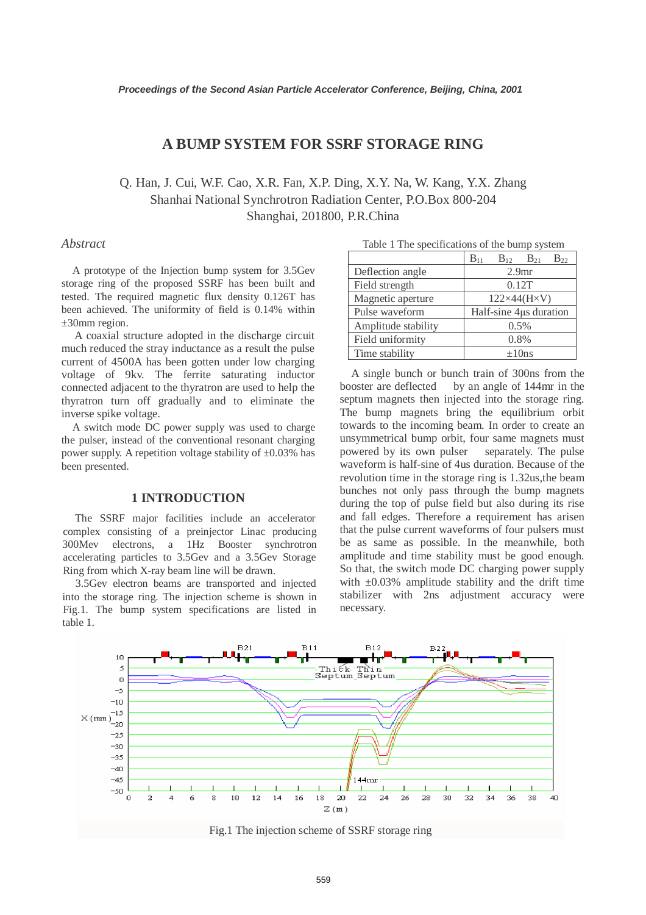# **A BUMP SYSTEM FOR SSRF STORAGE RING**

Q. Han, J. Cui, W.F. Cao, X.R. Fan, X.P. Ding, X.Y. Na, W. Kang, Y.X. Zhang Shanhai National Synchrotron Radiation Center, P.O.Box 800-204 Shanghai, 201800, P.R.China

#### *Abstract*

A prototype of the Injection bump system for 3.5Gev storage ring of the proposed SSRF has been built and tested. The required magnetic flux density 0.126T has been achieved. The uniformity of field is 0.14% within ±30mm region.

A coaxial structure adopted in the discharge circuit much reduced the stray inductance as a result the pulse current of 4500A has been gotten under low charging voltage of 9kv. The ferrite saturating inductor connected adjacent to the thyratron are used to help the thyratron turn off gradually and to eliminate the inverse spike voltage.

A switch mode DC power supply was used to charge the pulser, instead of the conventional resonant charging power supply. A repetition voltage stability of  $\pm 0.03\%$  has been presented.

#### **1 INTRODUCTION**

The SSRF major facilities include an accelerator complex consisting of a preinjector Linac producing 300Mev electrons, a 1Hz Booster synchrotron accelerating particles to 3.5Gev and a 3.5Gev Storage Ring from which X-ray beam line will be drawn.

3.5Gev electron beams are transported and injected into the storage ring. The injection scheme is shown in Fig.1. The bump system specifications are listed in table 1.

| Table 1 The specifications of the builtp system |                                              |
|-------------------------------------------------|----------------------------------------------|
|                                                 | $B_{11}$<br>$B_{21}$<br>$B_{12}$<br>$B_{22}$ |
| Deflection angle                                | 2.9 <sub>mr</sub>                            |
| Field strength                                  | 0.12T                                        |
| Magnetic aperture                               | $122\times44$ (H $\times$ V)                 |
| Pulse waveform                                  | Half-sine 4µs duration                       |
| Amplitude stability                             | 0.5%                                         |
| Field uniformity                                | 0.8%                                         |
| Time stability                                  | $\pm 10$ ns                                  |

Table 1 The specifications of the bump system

A single bunch or bunch train of 300ns from the booster are deflected by an angle of 144mr in the septum magnets then injected into the storage ring. The bump magnets bring the equilibrium orbit towards to the incoming beam. In order to create an unsymmetrical bump orbit, four same magnets must powered by its own pulser separately. The pulse waveform is half-sine of 4us duration. Because of the revolution time in the storage ring is 1.32us,the beam bunches not only pass through the bump magnets during the top of pulse field but also during its rise and fall edges. Therefore a requirement has arisen that the pulse current waveforms of four pulsers must be as same as possible. In the meanwhile, both amplitude and time stability must be good enough. So that, the switch mode DC charging power supply with  $\pm 0.03\%$  amplitude stability and the drift time stabilizer with 2ns adjustment accuracy were necessary.



Fig.1 The injection scheme of SSRF storage ring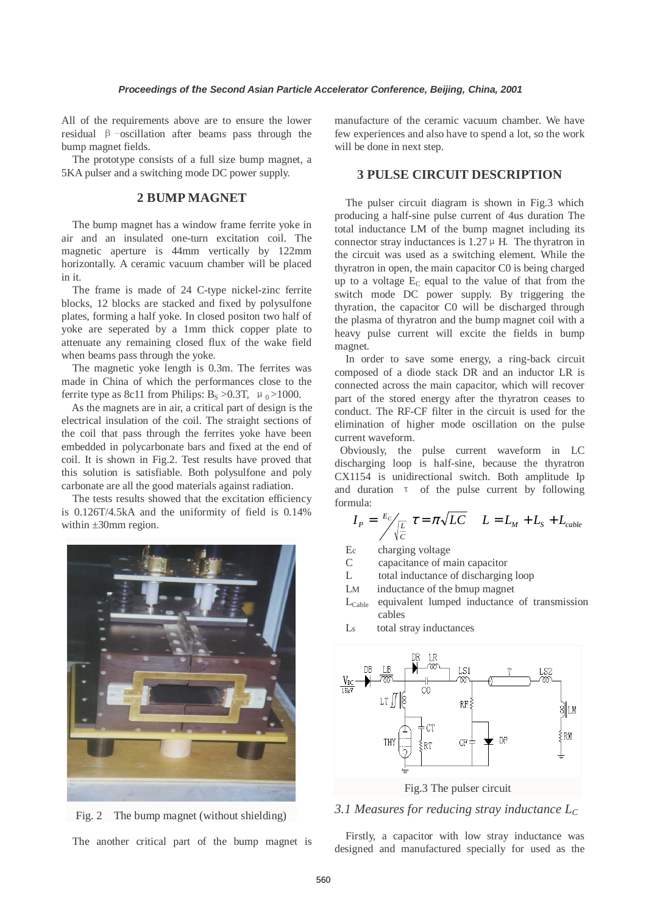All of the requirements above are to ensure the lower residual β-oscillation after beams pass through the bump magnet fields.

The prototype consists of a full size bump magnet, a 5KA pulser and a switching mode DC power supply.

## **2 BUMP MAGNET**

The bump magnet has a window frame ferrite yoke in air and an insulated one-turn excitation coil. The magnetic aperture is 44mm vertically by 122mm horizontally. A ceramic vacuum chamber will be placed in it.

The frame is made of 24 C-type nickel-zinc ferrite blocks, 12 blocks are stacked and fixed by polysulfone plates, forming a half yoke. In closed positon two half of yoke are seperated by a 1mm thick copper plate to attenuate any remaining closed flux of the wake field when beams pass through the yoke.

The magnetic yoke length is 0.3m. The ferrites was made in China of which the performances close to the ferrite type as 8c11 from Philips:  $B_s > 0.3T$ ,  $\mu_0 > 1000$ .

As the magnets are in air, a critical part of design is the electrical insulation of the coil. The straight sections of the coil that pass through the ferrites yoke have been embedded in polycarbonate bars and fixed at the end of coil. It is shown in Fig.2. Test results have proved that this solution is satisfiable. Both polysulfone and poly carbonate are all the good materials against radiation.

 The tests results showed that the excitation efficiency is 0.126T/4.5kA and the uniformity of field is 0.14% within ±30mm region.



Fig. 2 The bump magnet (without shielding)

The another critical part of the bump magnet is

manufacture of the ceramic vacuum chamber. We have few experiences and also have to spend a lot, so the work will be done in next step.

#### **3 PULSE CIRCUIT DESCRIPTION**

 The pulser circuit diagram is shown in Fig.3 which producing a half-sine pulse current of 4us duration The total inductance LM of the bump magnet including its connector stray inductances is  $1.27 \mu$  H. The thyratron in the circuit was used as a switching element. While the thyratron in open, the main capacitor C0 is being charged up to a voltage  $E_C$  equal to the value of that from the switch mode DC power supply. By triggering the thyration, the capacitor C0 will be discharged through the plasma of thyratron and the bump magnet coil with a heavy pulse current will excite the fields in bump magnet.

In order to save some energy, a ring-back circuit composed of a diode stack DR and an inductor LR is connected across the main capacitor, which will recover part of the stored energy after the thyratron ceases to conduct. The RF-CF filter in the circuit is used for the elimination of higher mode oscillation on the pulse current waveform.

 Obviously, the pulse current waveform in LC discharging loop is half-sine, because the thyratron CX1154 is unidirectional switch. Both amplitude Ip and duration τ of the pulse current by following formula:

$$
I_P = \frac{E_C}{\sqrt{\frac{L}{C}}} \tau = \pi \sqrt{LC} \qquad L = L_M + L_S + L_{cable}
$$

- Ec charging voltage
- C capacitance of main capacitor
- L total inductance of discharging loop
- LM inductance of the bmup magnet
- $L_{\text{Cable}}$  equivalent lumped inductance of transmission cables
- Ls total stray inductances



Fig.3 The pulser circuit

## *3.1 Measures for reducing stray inductance LC*

Firstly, a capacitor with low stray inductance was designed and manufactured specially for used as the